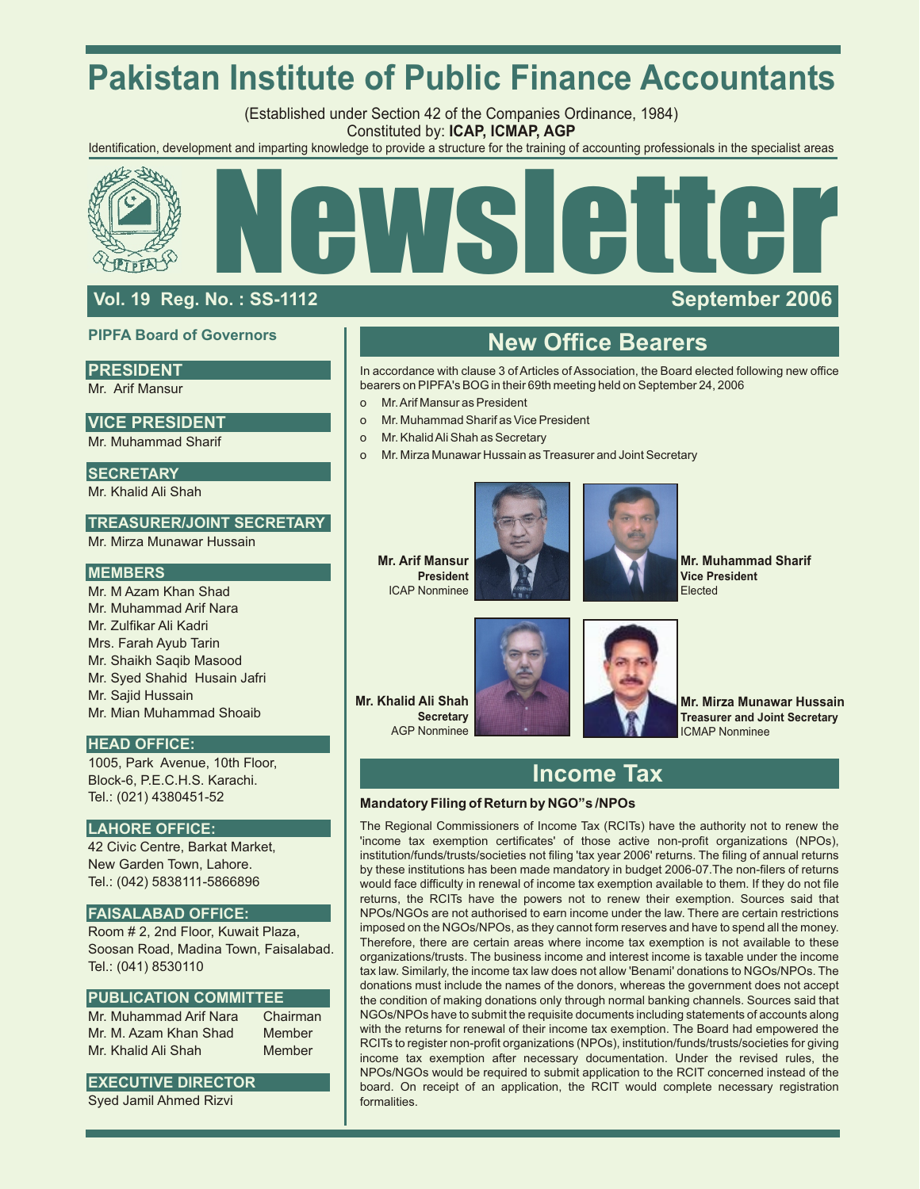# **Pakistan Institute of Public Finance Accountants**

(Established under Section 42 of the Companies Ordinance, 1984) Constituted by: **ICAP, ICMAP, AGP**

Identification, development and imparting knowledge to provide a structure for the training of accounting professionals in the specialist areas



## **Vol. 19 Reg. No. : SS-1112 September 2006**

## **PIPFA Board of Governors**

### **PRESIDENT**

Mr. Arif Mansur

## **VICE PRESIDENT**

Mr. Muhammad Sharif

## **SECRETARY**

Mr. Khalid Ali Shah

## **TREASURER/JOINT SECRETARY**

Mr. Mirza Munawar Hussain

### **MEMBERS**

Mr. M Azam Khan Shad Mr. Muhammad Arif Nara Mr. Zulfikar Ali Kadri Mrs. Farah Ayub Tarin Mr. Shaikh Saqib Masood Mr. Syed Shahid Husain Jafri Mr. Sajid Hussain Mr. Mian Muhammad Shoaib

## **HEAD OFFICE:**

1005, Park Avenue, 10th Floor, Block-6, P.E.C.H.S. Karachi. Tel.: (021) 4380451-52

## **LAHORE OFFICE:**

42 Civic Centre, Barkat Market, New Garden Town, Lahore. Tel.: (042) 5838111-5866896

### **FAISALABAD OFFICE:**

Room # 2, 2nd Floor, Kuwait Plaza, Soosan Road, Madina Town, Faisalabad. Tel.: (041) 8530110

### **PUBLICATION COMMITTEE**

Mr. Muhammad Arif Nara Chairman Mr. M. Azam Khan Shad Member Mr. Khalid Ali Shah Member

## **EXECUTIVE DIRECTOR**

Syed Jamil Ahmed Rizvi

## **New Office Bearers**

In accordance with clause 3 of Articles of Association, the Board elected following new office bearers on PIPFA's BOG in their 69th meeting held on September 24, 2006

- o Mr. Arif Mansur as President
- o Mr. Muhammad Sharif as Vice President
- o Mr. Khalid Ali Shah as Secretary
- o Mr. Mirza Munawar Hussain as Treasurer and Joint Secretary





**Mr. Muhammad Sharif Vice President** Elected

**Mr. Khalid Ali Shah Secretary** AGP Nonminee



**Mr. Mirza Munawar Hussain Treasurer and Joint Secretary** ICMAP Nonminee

## **Income Tax**

### **Mandatory Filing of Return by NGO"s /NPOs**

The Regional Commissioners of Income Tax (RCITs) have the authority not to renew the 'income tax exemption certificates' of those active non-profit organizations (NPOs), institution/funds/trusts/societies not filing 'tax year 2006' returns. The filing of annual returns by these institutions has been made mandatory in budget 2006-07.The non-filers of returns would face difficulty in renewal of income tax exemption available to them. If they do not file returns, the RCITs have the powers not to renew their exemption. Sources said that NPOs/NGOs are not authorised to earn income under the law. There are certain restrictions imposed on the NGOs/NPOs, as they cannot form reserves and have to spend all the money. Therefore, there are certain areas where income tax exemption is not available to these organizations/trusts. The business income and interest income is taxable under the income tax law. Similarly, the income tax law does not allow 'Benami' donations to NGOs/NPOs. The donations must include the names of the donors, whereas the government does not accept the condition of making donations only through normal banking channels. Sources said that NGOs/NPOs have to submit the requisite documents including statements of accounts along with the returns for renewal of their income tax exemption. The Board had empowered the RCITs to register non-profit organizations (NPOs), institution/funds/trusts/societies for giving income tax exemption after necessary documentation. Under the revised rules, the NPOs/NGOs would be required to submit application to the RCIT concerned instead of the board. On receipt of an application, the RCIT would complete necessary registration formalities.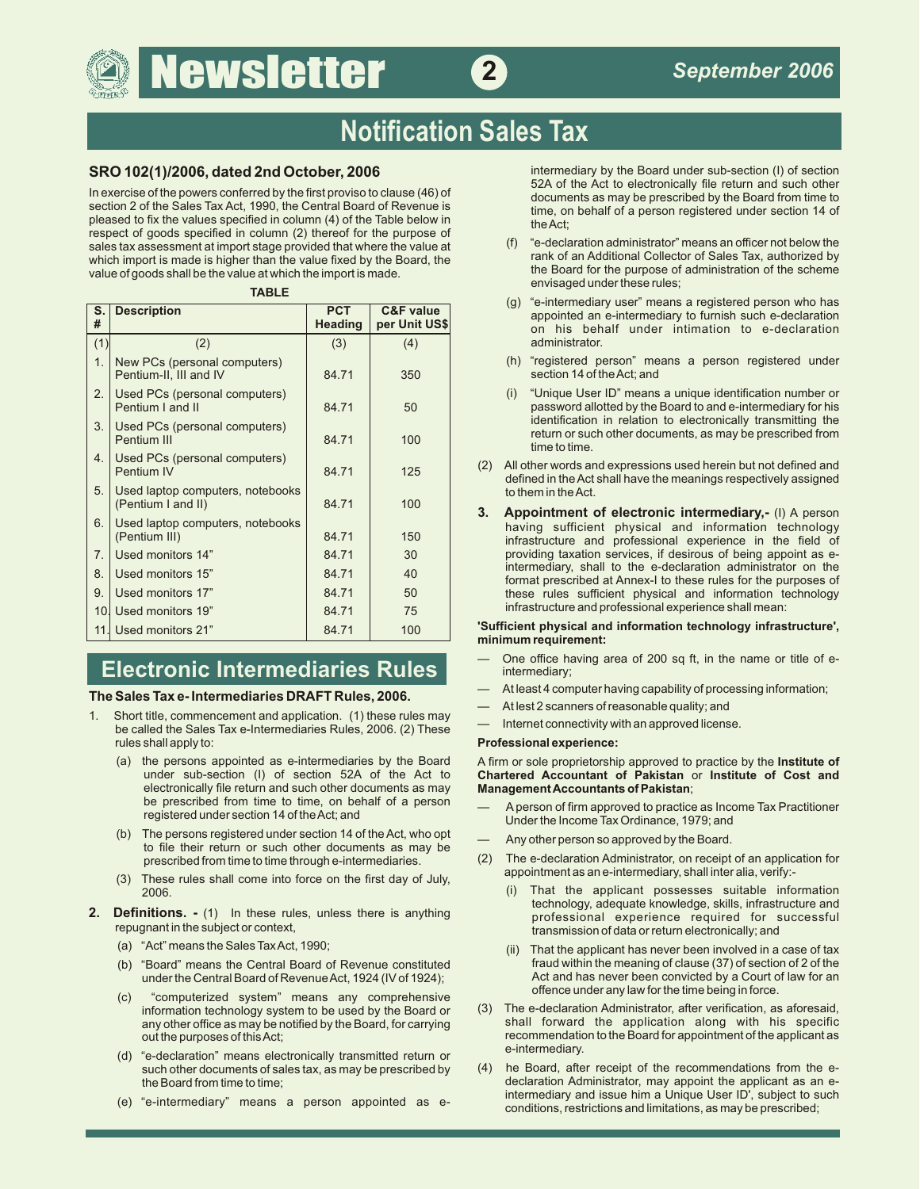# **Newsletter 2**

# **Notification Sales Tax**

In exercise of the powers conferred by the first proviso to clause (46) of documents as may be prescribed by the Board from time to section 2 of the Sales Tax Act, 1990, the Central Board of Revenue is time, on behalf of a person registered under section 14 of pleased to fix the values specified in column  $(4)$  of the Table below in the Act: respect of goods specified in column (2) thereof for the purpose of sales tax assessment at import stage provided that where the value at (f) "e-declaration administrator" means an officer not below the sales tax assessment at import stage provided that where the value at (f) "e-declaratio which import is made is higher than the value fixed by the Board, the serve than Kollector of Sales Tax, authorized by import is made is higher than the value fixed by the Board for the Board for the purpose of administrat value of goods shall be the value at which the import is made.

### **TABLE**

| S.<br># | <b>Description</b>                                     | <b>PCT</b><br><b>Heading</b> | <b>C&amp;F</b> value<br>per Unit US\$ |
|---------|--------------------------------------------------------|------------------------------|---------------------------------------|
| (1)     | (2)                                                    | (3)                          | (4)                                   |
| 1.      | New PCs (personal computers)<br>Pentium-II, III and IV | 84.71                        | 350                                   |
| 2.      | Used PCs (personal computers)<br>Pentium I and II      | 84.71                        | 50                                    |
| 3.      | Used PCs (personal computers)<br>Pentium III           | 84.71                        | 100                                   |
| 4.      | Used PCs (personal computers)<br>Pentium IV            | 84.71                        | 125                                   |
| 5.      | Used laptop computers, notebooks<br>(Pentium I and II) | 84.71                        | 100                                   |
| 6.      | Used laptop computers, notebooks<br>(Pentium III)      | 84.71                        | 150                                   |
| 7.      | Used monitors 14"                                      | 84.71                        | 30                                    |
| 8.      | Used monitors 15"                                      | 84.71                        | 40                                    |
| 9.      | Used monitors 17"                                      | 84.71                        | 50                                    |
|         | 10. Used monitors 19"                                  | 84.71                        | 75                                    |
| 11.1    | Used monitors 21"                                      | 84.71                        | 100                                   |

## **Electronic Intermediaries Rules**

## — At least 4 computer having capability of processing information; **The Sales Tax e- Intermediaries DRAFT Rules, 2006.**

- 1. Short title, commencement and application. (1) these rules may and the Sales Tax e-Internet connectivity with an approved license.<br>be called the Sales Tax e-Intermediaries Rules, 2006. (2) These htternet connectivity wi rules shall apply to: **Professional experience:**
	- electronically file return and such other documents as may be prescribed from time to time, on behalf of a person
	- (b) The persons registered under section 14 of the Act, who opt  $\begin{array}{ccc} & \text{Any other person so approved by the Board.} \\ \text{the their return or such other documents as may be} \\ \text{prescribed from time to time through e-intermediaries.} \end{array}$  (2) The e-declaration Administrator, on receipt
	- (3) These rules shall come into force on the first day of July,  $2006$
- **2. Definitions.** (1) In these rules, unless there is anything professional experience required for successful<br>
repugnant in the subject or context,<br>
repugnant in the subject or context,
	-
	- (b) "Board" means the Central Board of Revenue constituted<br>under the Central Board of Revenue Act, 1924 (IV of 1924);
	- (c) "computerized system" means any comprehensive information technology system to be used by the Board or any other office as may be notified by the Board, for carrying out the purposes of this Act;
	- (d) "e-declaration" means electronically transmitted return or such other documents of sales tax, as may be prescribed by
	-

**SRO 102(1)/2006, dated 2nd October, 2006 intermediary by the Board under sub-section (I) of section** 52A of the Act to electronically file return and such other

- envisaged under these rules;
- (g) "e-intermediary user" means a registered person who has appointed an e-intermediary to furnish such e-declaration on his behalf under intimation to e-declaration administrator.
- (h) "registered person" means a person registered under section 14 of the Act; and
- "Unique User ID" means a unique identification number or password allotted by the Board to and e-intermediary for his identification in relation to electronically transmitting the return or such other documents, as may be prescribed from<br>time to time.
- (2) All other words and expressions used herein but not defined and defined in the Act shall have the meanings respectively assigned to them in the Act.
- **3.** Appointment of electronic intermediary,- (I) A person having sufficient physical and information technology infrastructure and professional experience in the field of providing taxation services, if desirous of being appoint as e-<br>intermediary, shall to the e-declaration administrator on the format prescribed at Annex-I to these rules for the purposes of these rules sufficient physical and information technology infrastructure and professional experience shall mean:

### 'Sufficient physical and information technology infrastructure', **minimum requirement:**

- One office having area of 200 sq ft, in the name or title of eintermediary;
- 
- At lest 2 scanners of reasonable quality; and
- 

(a) the persons appointed as e-intermediaries by the Board A firm or sole proprietorship approved to practice by the **Institute of Chartered Accountant of Pakistan or Institute of Cost and Management Accountants of Pakistan** 

- be prescribed from time to time, on behalf of a person Aperson of firm approved to practice as Income Tax Practitioner registered under section 14 of the Act; and Under the Income Tax Ordinance, 1979; and
	-
	- (2) The e-declaration Administrator, on receipt of an application for appointment as an e-intermediary, shall inter alia, verify:-
		- (i) That the applicant possesses suitable information technology, adequate knowledge, skills, infrastructure and transmission of data or return electronically; and
- (a) "Act" means the Sales Tax Act, 1990;<br>(b) "Board" means the Central Board of Revenue constituted fraud within the meaning of clause (37) of section of 2 of the Act and has never been convicted by a Court of law for an offence under any law for the time being in force.
	- (3) The e-declaration Administrator, after verification, as aforesaid, shall forward the application along with his specific recommendation to the Board for appointment of the applicant as e-intermediary.
- such other documents of sales tax, as may be prescribed by (4) he Board, after receipt of the recommendations from the e-<br>declaration Administrator, may appoint the applicant as an e-<br>declaration Administrator, may appoint declaration Administrator, may appoint the applicant as an eintermediary and issue him a Unique User ID', subject to such (e) "e-intermediary" means <sup>a</sup> person appointed as econditions, restrictions and limitations, as may be prescribed;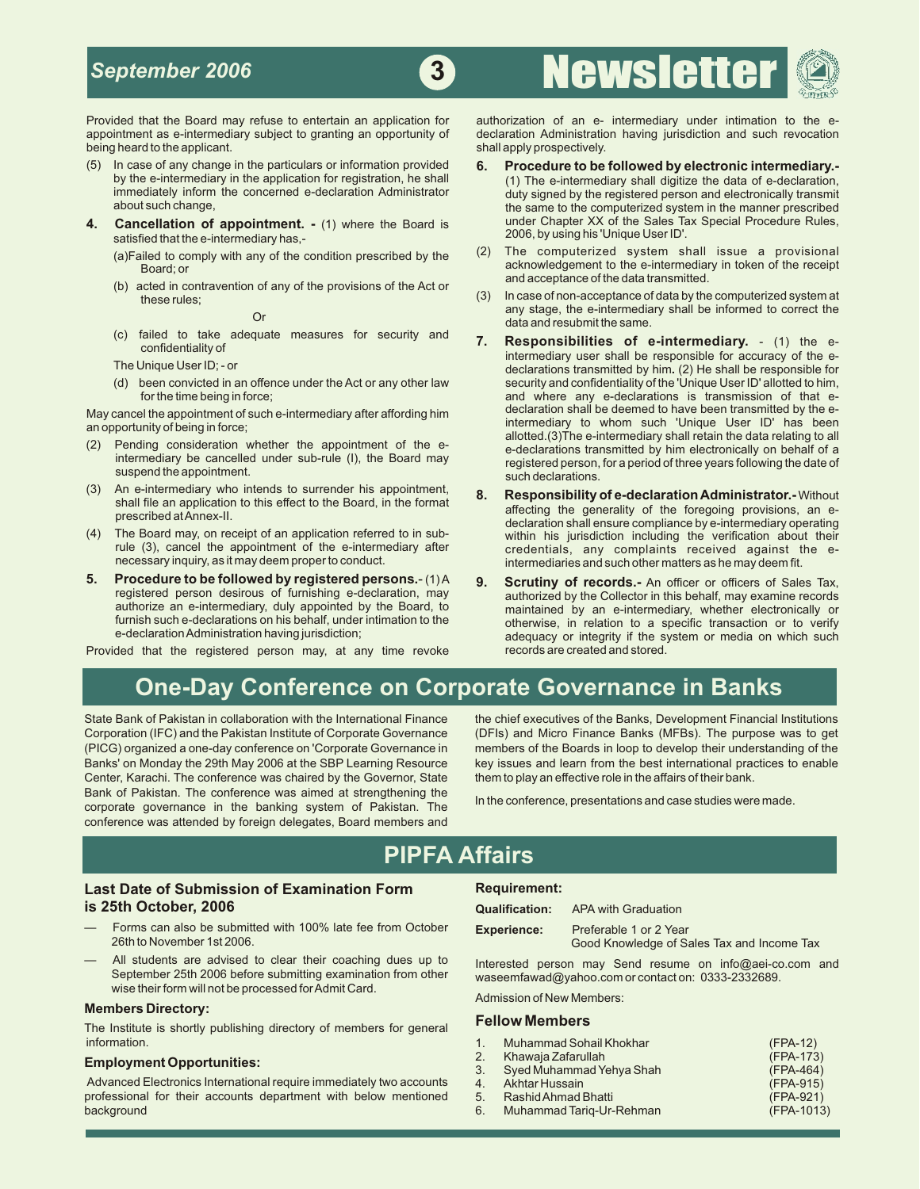## *September 2006*



being heard to the applicant. Shall apply prospectively.

- (5) In case of any change in the particulars or information provided **6. Procedure to be followed by electronic intermediary.-**
- **4. Cancellation of appointment. -** (1) where the Board is under Chapter XX of the Sales Tax special procedure Rules, **-** (1) where the Board is 2006, by using his 'Unique User ID'. satisfied that the e-intermediary has,-
	- (a)Failed to comply with any of the condition prescribed by the
	- (b) acted in contravention of any of the provisions of the Act or

Or any stage, and contained to take adequate measures for security and  $\sigma$  **Dependentifies and result the same.** 

- 
- 
- 
- **5. Procedure to be followed by registered persons.** (1) A **9. Scrutiny of records.-** An officer or officers of Sales Tax, and registered person desirous of furnishing e-declaration, may authorized by the Collector in t

Provided that the registered person may, at any time revoke

Provided that the Board may refuse to entertain an application for authorization of an e- intermediary under intimation to the e-<br>appointment as e-intermediary subject to granting an opportunity of declaration Administrati declaration Administration having jurisdiction and such revocation

**3** Newslette

## by the e-intermediary in the application for registration, he shall (1) The e-intermediary shall digitize the data of e-declaration,<br>
immediately inform the concerned e-declaration Administrator duty signed by the register immediately inform the concerned e-declaration Administrator duty signed by the registered person and electronically transmit<br>the same to the computerized system in the manner prescribed the same to the computerized system in the manner prescribed under Chapter XX of the Sales Tax Special Procedure Rules,

- (2) The computerized system shall issue a provisional acknowledgement to the e-intermediary in token of the receipt and acceptance of the data transmitted.
- these rules; non-acceptance of data by the computerized system at these rules; non-acceptance of data by the computerized system at any stage, the e-intermediary shall be informed to correct the
- (c) failed to take adequate measures for security and **7. Responsibilities of e-intermediary.** (1) the econfidentiality of internet intermediary user shall be responsible for accuracy of the e-<br>The Unique User ID; - or example for accuracy of the e-declarations transmitted by him (2) He shall be responsible for The Unique User ID; - or declarations transmitted by him. (2) He shall be responsible for<br>(d) been convicted in an offence under the Act or any other law security and confidentiality of the 'Unique User ID' allotted to him been convicted in an offence under the Act or any other law security and confidentiality of the 'Unique User ID' allotted to him,<br>for the time being in force; expansion of that eand where any e-declarations is transmission of that e-declaration shall be deemed to have been transmitted by the e-May cancel the appointment of such e-intermediary after affording him and declaration shall be deemed to have been transmitted by the e-<br>an opportunity of being in force; (2) Pending consideration whether the appointment of the e-<br>
intermediary be cancelled under sub-rule (I), the Board may<br>
(3) An e-intermediary who intends to surrender his appointment,<br>
(3) An e-intermediary who intends t
- (3) An e-Intermediary who intends to surrender his appointment,<br>
shall file an application to this effect to the Board, in the format<br>
prescribed at Annex-II.<br>
(4) The Board may, on receipt of an application referred to in The Board may, on receipt of an application referred to in sub-<br>
rule (3), cancel the appointment of the e-intermediary after<br>
credentials, any complaints received against the erule (3), cancel the appointment of the e-intermediary after credentials, any complaints received against the e-<br>necessary inquiry, as it may deem proper to conduct. intermediaries and such other matters as he may deem fit.
	- registered person desirous of furnishing e-declaration, may authorized by the Collector in this behalf, may examine records<br>authorize an e-intermediary, duly appointed by the Board, to maintained by an e-intermediary, whet authorize an e-intermediary, duly appointed by the Board, to maintained by an e-intermediary, whether electronically or furnish such e-declarations on his behalf, under intimation to the otherwise, in relation to a specific transaction or to verify<br>e-declaration Administration having jurisdiction; each of the system or media on which such adequacy or integrity if the system or media on which such<br>records are created and stored.

## **One-Day Conference on Corporate Governance in Banks**

(PICG) organized a one-day conference on 'Corporate Governance in members of the Boards in loop to develop their understanding of the Banks' on Monday the 29th May 2006 at the SBP Learning Resource key issues and learn from the best international practices to enable Center, Karachi. The conference was chaired by the Governor, State them to play an effective role in the affairs of their bank. Bank of Pakistan. The conference was aimed at strengthening the In the conference, presentations and case studies were made.<br>corporate governance in the banking system of Pakistan. The In the conference, presentations and conference was attended by foreign delegates, Board members and

State Bank of Pakistan in collaboration with the International Finance the chief executives of the Banks, Development Financial Institutions<br>Corporation (IFC) and the Pakistan Institute of Corporate Governance (DFIs) and M (DFIs) and Micro Finance Banks (MFBs). The purpose was to get

## **PIPFA Affairs**

### **Last Date of Submission of Examination Form Requirement: is 25th October, 2006 Qualification:** APA with Graduation

- Forms can also be submitted with 100% late fee from October **Experience:** Preferable 1 or 2 Year
- All students are advised to clear their coaching dues up to Interested person may Send resume on info@aei-co.com and September 25th 2006 before submitting examination from other waseemfawad@yahoo.com or contact on: 0333-2332689. wise their form will not be processed for Admit Card.

### **Members Directory:**

**Fellow Members** The Institute is shortly publishing directory of members for general

### **Employment Opportunities:**

Good Knowledge of Sales Tax and Income Tax

Admission of New Members:

| information.                                                        |    | Muhammad Sohail Khokhar     | $(FPA-12)$ |
|---------------------------------------------------------------------|----|-----------------------------|------------|
| <b>Employment Opportunities:</b>                                    |    | Khawaja Zafarullah          | (FPA-173)  |
|                                                                     |    | 3. Syed Muhammad Yehya Shah | (FPA-464)  |
| Advanced Electronics International require immediately two accounts |    | 4. Akhtar Hussain           | (FPA-915)  |
| professional for their accounts department with below mentioned     |    | 5. Rashid Ahmad Bhatti      | (FPA-921)  |
| background                                                          | 6. | Muhammad Tarig-Ur-Rehman    | (FPA-1013) |